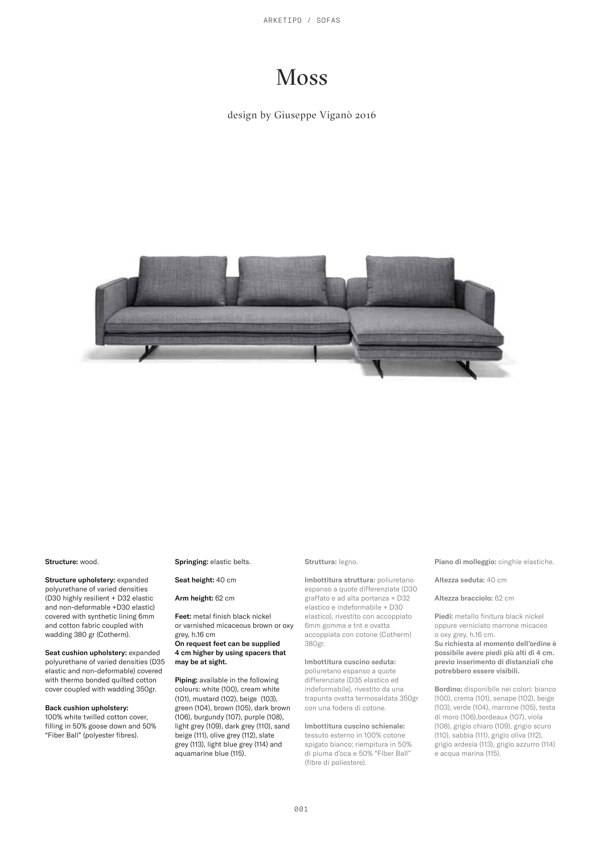ARKETIPO / SOFAS

# Moss

design by Giuseppe Viganò 2016



#### Structure: wood.

Structure upholstery: expanded polyurethane of varied densities (D30 highly resilient + D32 elastic and non-deformable +D30 elastic) covered with synthetic lining 6mm and cotton fabric coupled with wadding 380 gr (Cotherm).

Seat cushion upholstery: expanded polyurethane of varied densities (D35 elastic and non-deformable) covered with thermo bonded quilted cotton cover coupled with wadding 350gr.

#### Back cushion upholstery:

100% white twilled cotton cover, filling in 50% goose down and 50% "Fiber Ball" (polyester fibres).

## Springing: elastic belts.

Seat height: 40 cm

## Arm height: 62 cm

Feet: metal finish black nickel or varnished micaceous brown or oxy grey, h.16 cm On request feet can be supplied

## 4 cm higher by using spacers that may be at sight.

Piping: available in the following colours: white (100), cream white (101), mustard (102), beige (103), green (104), brown (105), dark brown (106), burgundy (107), purple (108), light grey (109), dark grey (110), sand beige (111), olive grey (112), slate grey (113), light blue grey (114) and aquamarine blue (115).

#### Struttura: legno.

Imbottitura struttura: poliuretano espanso a quote differenziate (D30 graffato e ad alta portanza + D32 elastico e indeformabile + D30 elastico), rivestito con accoppiato 6mm gomma e tnt e ovatta accoppiata con cotone (Cotherm) 380gr.

## Imbottitura cuscino seduta:

poliuretano espanso a quote differenziate (D35 elastico ed indeformabile), rivestito da una trapunta ovatta termosaldata 350gr con una fodera di cotone.

Imbottitura cuscino schienale: tessuto esterno in 100% cotone spigato bianco; riempitura in 50% di piuma d'oca e 50% "Fiber Ball" (fibre di poliestere).

Piano di molleggio: cinghie elastiche.

Altezza seduta: 40 cm

#### Altezza bracciolo: 62 cm

Piedi: metallo finitura black nickel oppure verniciato marrone micaceo o oxy grey, h.16 cm.

Su richiesta al momento dell'ordine è possibile avere piedi più alti di 4 cm. previo inserimento di distanziali che .<br>potrebbero essere visibili.

Bordino: disponibile nei colori: bianco (100), crema (101), senape (102), beige (103), verde (104), marrone (105), testa di moro (106),bordeaux (107), viola (108), grigio chiaro (109), grigio scuro (110), sabbia (111), grigio oliva (112), grigio ardesia (113), grigio azzurro (114) e acqua marina (115).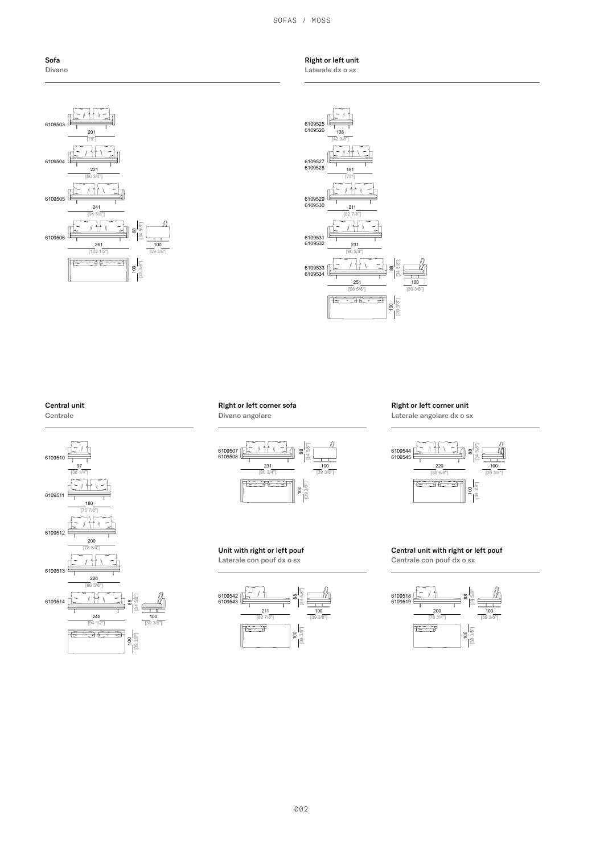SOFAS / MOSS



Right or left unit Laterale dx o sx



## Central unit





## Right or left corner sofa Divano angolare



Unit with right or left pouf Laterale con pouf dx o sx



## Right or left corner unit

Laterale angolare dx o sx



Central unit with right or left pouf Centrale con pouf dx o sx